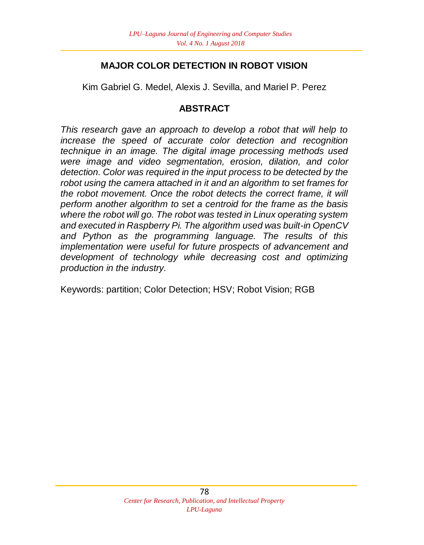### **MAJOR COLOR DETECTION IN ROBOT VISION**

Kim Gabriel G. Medel, Alexis J. Sevilla, and Mariel P. Perez

### **ABSTRACT**

*This research gave an approach to develop a robot that will help to increase the speed of accurate color detection and recognition technique in an image. The digital image processing methods used were image and video segmentation, erosion, dilation, and color detection. Color was required in the input process to be detected by the robot using the camera attached in it and an algorithm to set frames for the robot movement. Once the robot detects the correct frame, it will perform another algorithm to set a centroid for the frame as the basis where the robot will go. The robot was tested in Linux operating system and executed in Raspberry Pi. The algorithm used was built-in OpenCV and Python as the programming language. The results of this implementation were useful for future prospects of advancement and development of technology while decreasing cost and optimizing production in the industry.*

Keywords: partition; Color Detection; HSV; Robot Vision; RGB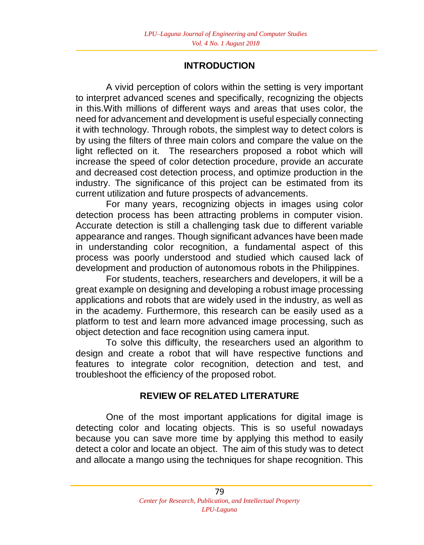### **INTRODUCTION**

A vivid perception of colors within the setting is very important to interpret advanced scenes and specifically, recognizing the objects in this.With millions of different ways and areas that uses color, the need for advancement and development is useful especially connecting it with technology. Through robots, the simplest way to detect colors is by using the filters of three main colors and compare the value on the light reflected on it. The researchers proposed a robot which will increase the speed of color detection procedure, provide an accurate and decreased cost detection process, and optimize production in the industry. The significance of this project can be estimated from its current utilization and future prospects of advancements.

For many years, recognizing objects in images using color detection process has been attracting problems in computer vision. Accurate detection is still a challenging task due to different variable appearance and ranges. Though significant advances have been made in understanding color recognition, a fundamental aspect of this process was poorly understood and studied which caused lack of development and production of autonomous robots in the Philippines.

For students, teachers, researchers and developers, it will be a great example on designing and developing a robust image processing applications and robots that are widely used in the industry, as well as in the academy. Furthermore, this research can be easily used as a platform to test and learn more advanced image processing, such as object detection and face recognition using camera input.

To solve this difficulty, the researchers used an algorithm to design and create a robot that will have respective functions and features to integrate color recognition, detection and test, and troubleshoot the efficiency of the proposed robot.

# **REVIEW OF RELATED LITERATURE**

One of the most important applications for digital image is detecting color and locating objects. This is so useful nowadays because you can save more time by applying this method to easily detect a color and locate an object. The aim of this study was to detect and allocate a mango using the techniques for shape recognition. This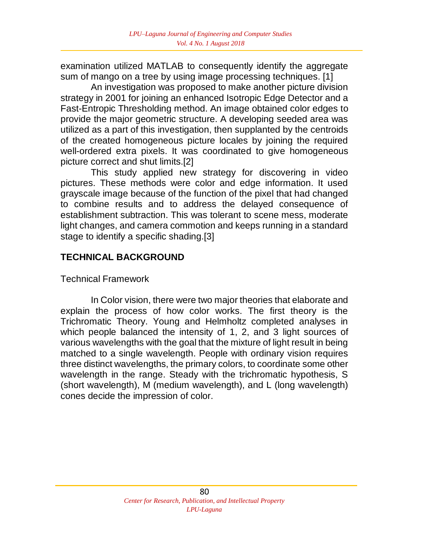examination utilized MATLAB to consequently identify the aggregate sum of mango on a tree by using image processing techniques. [1]

An investigation was proposed to make another picture division strategy in 2001 for joining an enhanced Isotropic Edge Detector and a Fast-Entropic Thresholding method. An image obtained color edges to provide the major geometric structure. A developing seeded area was utilized as a part of this investigation, then supplanted by the centroids of the created homogeneous picture locales by joining the required well-ordered extra pixels. It was coordinated to give homogeneous picture correct and shut limits.[2]

This study applied new strategy for discovering in video pictures. These methods were color and edge information. It used grayscale image because of the function of the pixel that had changed to combine results and to address the delayed consequence of establishment subtraction. This was tolerant to scene mess, moderate light changes, and camera commotion and keeps running in a standard stage to identify a specific shading.[3]

### **TECHNICAL BACKGROUND**

### Technical Framework

In Color vision, there were two major theories that elaborate and explain the process of how color works. The first theory is the Trichromatic Theory. Young and Helmholtz completed analyses in which people balanced the intensity of 1, 2, and 3 light sources of various wavelengths with the goal that the mixture of light result in being matched to a single wavelength. People with ordinary vision requires three distinct wavelengths, the primary colors, to coordinate some other wavelength in the range. Steady with the trichromatic hypothesis, S (short wavelength), M (medium wavelength), and L (long wavelength) cones decide the impression of color.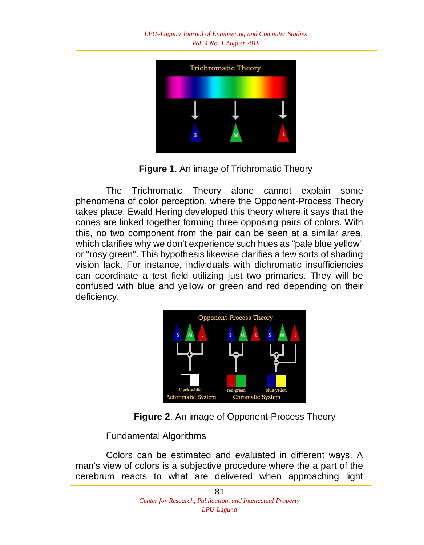

**Figure 1**. An image of Trichromatic Theory

The Trichromatic Theory alone cannot explain some phenomena of color perception, where the Opponent-Process Theory takes place. Ewald Hering developed this theory where it says that the cones are linked together forming three opposing pairs of colors. With this, no two component from the pair can be seen at a similar area, which clarifies why we don't experience such hues as "pale blue yellow" or "rosy green". This hypothesis likewise clarifies a few sorts of shading vision lack. For instance, individuals with dichromatic insufficiencies can coordinate a test field utilizing just two primaries. They will be confused with blue and yellow or green and red depending on their deficiency.



**Figure 2**. An image of Opponent-Process Theory

Fundamental Algorithms

Colors can be estimated and evaluated in different ways. A man's view of colors is a subjective procedure where the a part of the cerebrum reacts to what are delivered when approaching light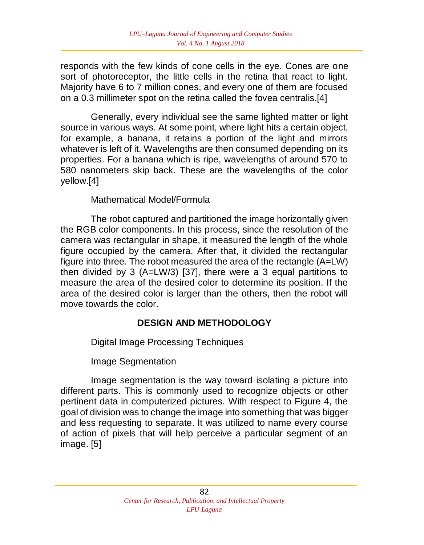responds with the few kinds of cone cells in the eye. Cones are one sort of photoreceptor, the little cells in the retina that react to light. Majority have 6 to 7 million cones, and every one of them are focused on a 0.3 millimeter spot on the retina called the fovea centralis.[4]

Generally, every individual see the same lighted matter or light source in various ways. At some point, where light hits a certain object, for example, a banana, it retains a portion of the light and mirrors whatever is left of it. Wavelengths are then consumed depending on its properties. For a banana which is ripe, wavelengths of around 570 to 580 nanometers skip back. These are the wavelengths of the color yellow.[4]

#### Mathematical Model/Formula

The robot captured and partitioned the image horizontally given the RGB color components. In this process, since the resolution of the camera was rectangular in shape, it measured the length of the whole figure occupied by the camera. After that, it divided the rectangular figure into three. The robot measured the area of the rectangle (A=LW) then divided by 3 (A=LW/3) [37], there were a 3 equal partitions to measure the area of the desired color to determine its position. If the area of the desired color is larger than the others, then the robot will move towards the color.

### **DESIGN AND METHODOLOGY**

Digital Image Processing Techniques

Image Segmentation

Image segmentation is the way toward isolating a picture into different parts. This is commonly used to recognize objects or other pertinent data in computerized pictures. With respect to Figure 4, the goal of division was to change the image into something that was bigger and less requesting to separate. It was utilized to name every course of action of pixels that will help perceive a particular segment of an image. [5]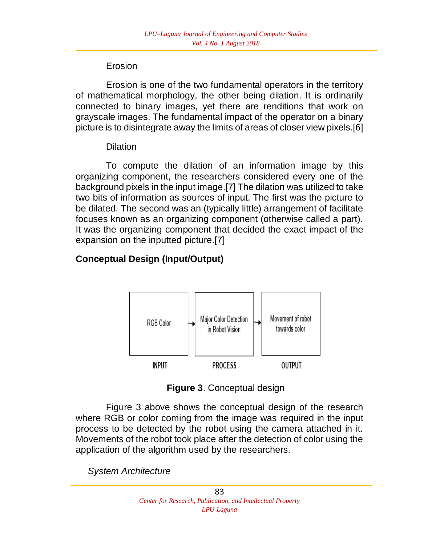### Erosion

Erosion is one of the two fundamental operators in the territory of mathematical morphology, the other being dilation. It is ordinarily connected to binary images, yet there are renditions that work on grayscale images. The fundamental impact of the operator on a binary picture is to disintegrate away the limits of areas of closer view pixels.[6]

### **Dilation**

To compute the dilation of an information image by this organizing component, the researchers considered every one of the background pixels in the input image.[7] The dilation was utilized to take two bits of information as sources of input. The first was the picture to be dilated. The second was an (typically little) arrangement of facilitate focuses known as an organizing component (otherwise called a part). It was the organizing component that decided the exact impact of the expansion on the inputted picture.[7]

# **Conceptual Design (Input/Output)**



**Figure 3**. Conceptual design

Figure 3 above shows the conceptual design of the research where RGB or color coming from the image was required in the input process to be detected by the robot using the camera attached in it. Movements of the robot took place after the detection of color using the application of the algorithm used by the researchers.

*System Architecture*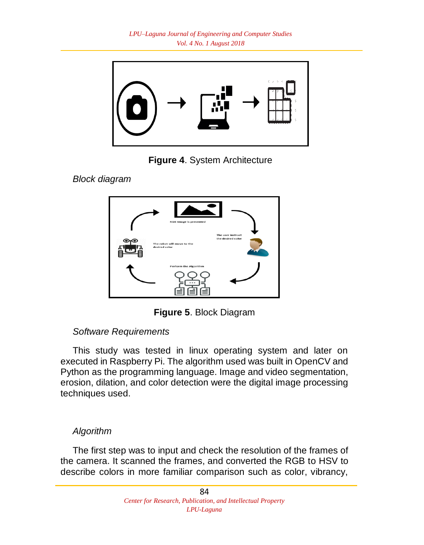

**Figure 4**. System Architecture

*Block diagram*



**Figure 5**. Block Diagram

# *Software Requirements*

This study was tested in linux operating system and later on executed in Raspberry Pi. The algorithm used was built in OpenCV and Python as the programming language. Image and video segmentation, erosion, dilation, and color detection were the digital image processing techniques used.

# *Algorithm*

The first step was to input and check the resolution of the frames of the camera. It scanned the frames, and converted the RGB to HSV to describe colors in more familiar comparison such as color, vibrancy,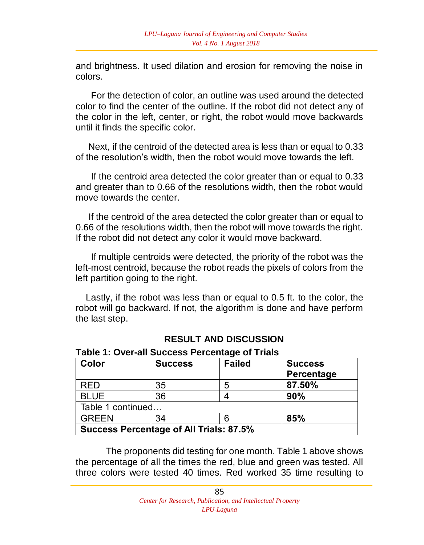and brightness. It used dilation and erosion for removing the noise in colors.

 For the detection of color, an outline was used around the detected color to find the center of the outline. If the robot did not detect any of the color in the left, center, or right, the robot would move backwards until it finds the specific color.

 Next, if the centroid of the detected area is less than or equal to 0.33 of the resolution's width, then the robot would move towards the left.

 If the centroid area detected the color greater than or equal to 0.33 and greater than to 0.66 of the resolutions width, then the robot would move towards the center.

 If the centroid of the area detected the color greater than or equal to 0.66 of the resolutions width, then the robot will move towards the right. If the robot did not detect any color it would move backward.

 If multiple centroids were detected, the priority of the robot was the left-most centroid, because the robot reads the pixels of colors from the left partition going to the right.

 Lastly, if the robot was less than or equal to 0.5 ft. to the color, the robot will go backward. If not, the algorithm is done and have perform the last step.

| <b>RESULT AND DISCUSSION</b> |  |  |  |
|------------------------------|--|--|--|
|------------------------------|--|--|--|

| Table 1: Over-all Success Percentage of Trials |  |  |
|------------------------------------------------|--|--|
|------------------------------------------------|--|--|

| Color                                          | <b>Success</b> | <b>Failed</b> | <b>Success</b><br>Percentage |  |  |
|------------------------------------------------|----------------|---------------|------------------------------|--|--|
| RED                                            | 35             | 5             | 87.50%                       |  |  |
| <b>BLUE</b>                                    | 36             |               | 90%                          |  |  |
| Table 1 continued                              |                |               |                              |  |  |
| <b>GREEN</b>                                   | 34             |               | 85%                          |  |  |
| <b>Success Percentage of All Trials: 87.5%</b> |                |               |                              |  |  |

The proponents did testing for one month. Table 1 above shows the percentage of all the times the red, blue and green was tested. All three colors were tested 40 times. Red worked 35 time resulting to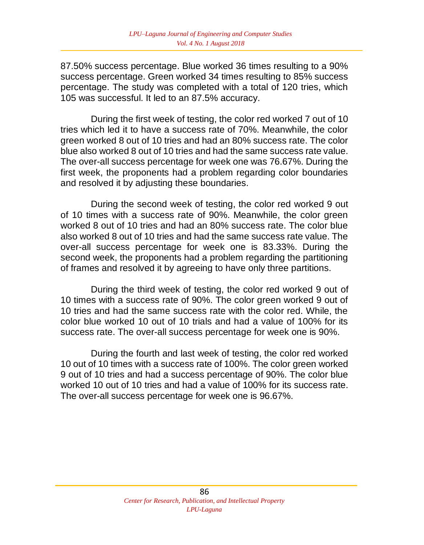87.50% success percentage. Blue worked 36 times resulting to a 90% success percentage. Green worked 34 times resulting to 85% success percentage. The study was completed with a total of 120 tries, which 105 was successful. It led to an 87.5% accuracy.

During the first week of testing, the color red worked 7 out of 10 tries which led it to have a success rate of 70%. Meanwhile, the color green worked 8 out of 10 tries and had an 80% success rate. The color blue also worked 8 out of 10 tries and had the same success rate value. The over-all success percentage for week one was 76.67%. During the first week, the proponents had a problem regarding color boundaries and resolved it by adjusting these boundaries.

During the second week of testing, the color red worked 9 out of 10 times with a success rate of 90%. Meanwhile, the color green worked 8 out of 10 tries and had an 80% success rate. The color blue also worked 8 out of 10 tries and had the same success rate value. The over-all success percentage for week one is 83.33%. During the second week, the proponents had a problem regarding the partitioning of frames and resolved it by agreeing to have only three partitions.

During the third week of testing, the color red worked 9 out of 10 times with a success rate of 90%. The color green worked 9 out of 10 tries and had the same success rate with the color red. While, the color blue worked 10 out of 10 trials and had a value of 100% for its success rate. The over-all success percentage for week one is 90%.

During the fourth and last week of testing, the color red worked 10 out of 10 times with a success rate of 100%. The color green worked 9 out of 10 tries and had a success percentage of 90%. The color blue worked 10 out of 10 tries and had a value of 100% for its success rate. The over-all success percentage for week one is 96.67%.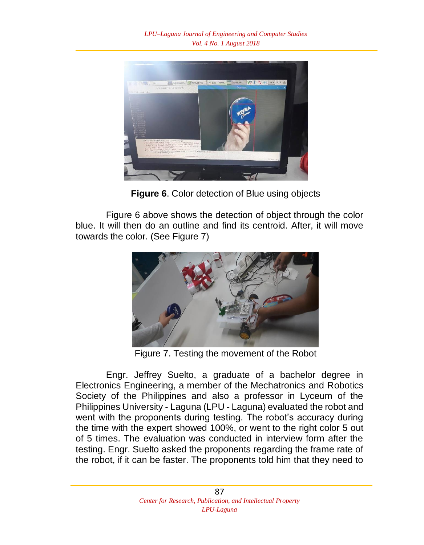

**Figure 6**. Color detection of Blue using objects

Figure 6 above shows the detection of object through the color blue. It will then do an outline and find its centroid. After, it will move towards the color. (See Figure 7)



Figure 7. Testing the movement of the Robot

Engr. Jeffrey Suelto, a graduate of a bachelor degree in Electronics Engineering, a member of the Mechatronics and Robotics Society of the Philippines and also a professor in Lyceum of the Philippines University - Laguna (LPU - Laguna) evaluated the robot and went with the proponents during testing. The robot's accuracy during the time with the expert showed 100%, or went to the right color 5 out of 5 times. The evaluation was conducted in interview form after the testing. Engr. Suelto asked the proponents regarding the frame rate of the robot, if it can be faster. The proponents told him that they need to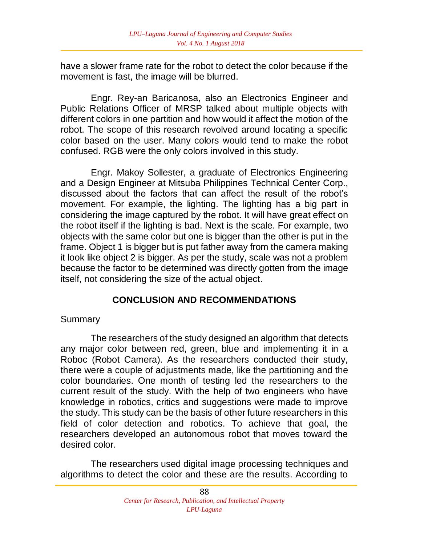have a slower frame rate for the robot to detect the color because if the movement is fast, the image will be blurred.

 Engr. Rey-an Baricanosa, also an Electronics Engineer and Public Relations Officer of MRSP talked about multiple objects with different colors in one partition and how would it affect the motion of the robot. The scope of this research revolved around locating a specific color based on the user. Many colors would tend to make the robot confused. RGB were the only colors involved in this study.

Engr. Makoy Sollester, a graduate of Electronics Engineering and a Design Engineer at Mitsuba Philippines Technical Center Corp., discussed about the factors that can affect the result of the robot's movement. For example, the lighting. The lighting has a big part in considering the image captured by the robot. It will have great effect on the robot itself if the lighting is bad. Next is the scale. For example, two objects with the same color but one is bigger than the other is put in the frame. Object 1 is bigger but is put father away from the camera making it look like object 2 is bigger. As per the study, scale was not a problem because the factor to be determined was directly gotten from the image itself, not considering the size of the actual object.

### **CONCLUSION AND RECOMMENDATIONS**

#### **Summary**

The researchers of the study designed an algorithm that detects any major color between red, green, blue and implementing it in a Roboc (Robot Camera). As the researchers conducted their study, there were a couple of adjustments made, like the partitioning and the color boundaries. One month of testing led the researchers to the current result of the study. With the help of two engineers who have knowledge in robotics, critics and suggestions were made to improve the study. This study can be the basis of other future researchers in this field of color detection and robotics. To achieve that goal, the researchers developed an autonomous robot that moves toward the desired color.

The researchers used digital image processing techniques and algorithms to detect the color and these are the results. According to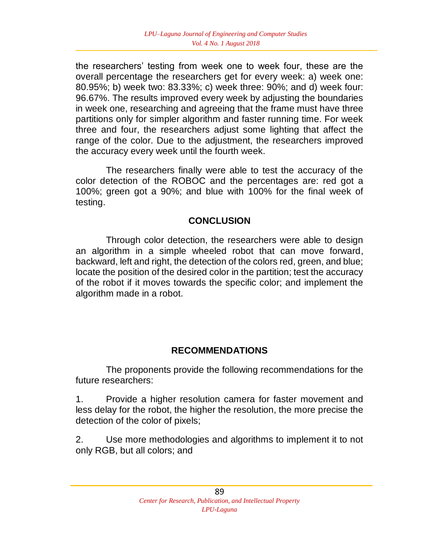the researchers' testing from week one to week four, these are the overall percentage the researchers get for every week: a) week one: 80.95%; b) week two: 83.33%; c) week three: 90%; and d) week four: 96.67%. The results improved every week by adjusting the boundaries in week one, researching and agreeing that the frame must have three partitions only for simpler algorithm and faster running time. For week three and four, the researchers adjust some lighting that affect the range of the color. Due to the adjustment, the researchers improved the accuracy every week until the fourth week.

The researchers finally were able to test the accuracy of the color detection of the ROBOC and the percentages are: red got a 100%; green got a 90%; and blue with 100% for the final week of testing.

### **CONCLUSION**

Through color detection, the researchers were able to design an algorithm in a simple wheeled robot that can move forward, backward, left and right, the detection of the colors red, green, and blue; locate the position of the desired color in the partition; test the accuracy of the robot if it moves towards the specific color; and implement the algorithm made in a robot.

### **RECOMMENDATIONS**

The proponents provide the following recommendations for the future researchers:

1. Provide a higher resolution camera for faster movement and less delay for the robot, the higher the resolution, the more precise the detection of the color of pixels;

2. Use more methodologies and algorithms to implement it to not only RGB, but all colors; and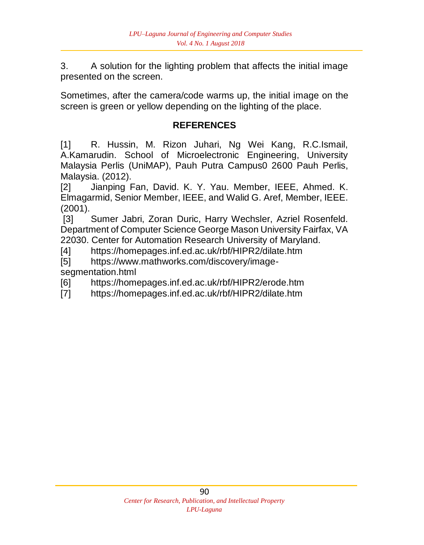3. A solution for the lighting problem that affects the initial image presented on the screen.

Sometimes, after the camera/code warms up, the initial image on the screen is green or yellow depending on the lighting of the place.

# **REFERENCES**

[1] R. Hussin, M. Rizon Juhari, Ng Wei Kang, R.C.Ismail, A.Kamarudin. School of Microelectronic Engineering, University Malaysia Perlis (UniMAP), Pauh Putra Campus0 2600 Pauh Perlis, Malaysia. (2012).

[2] Jianping Fan, David. K. Y. Yau. Member, IEEE, Ahmed. K. Elmagarmid, Senior Member, IEEE, and Walid G. Aref, Member, IEEE. (2001).

[3] Sumer Jabri, Zoran Duric, Harry Wechsler, Azriel Rosenfeld. Department of Computer Science George Mason University Fairfax, VA 22030. Center for Automation Research University of Maryland.

[4] https://homepages.inf.ed.ac.uk/rbf/HIPR2/dilate.htm

[5] https://www.mathworks.com/discovery/imagesegmentation.html

[6] https://homepages.inf.ed.ac.uk/rbf/HIPR2/erode.htm

[7] https://homepages.inf.ed.ac.uk/rbf/HIPR2/dilate.htm